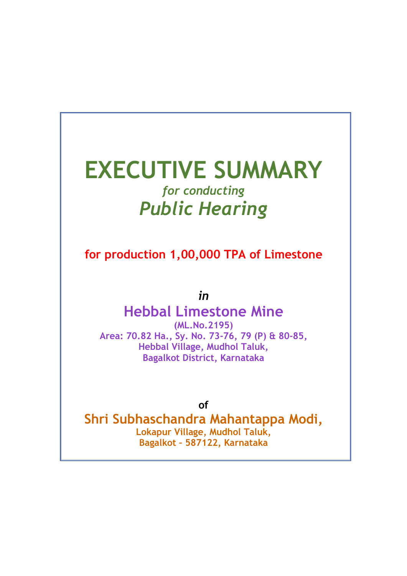# EXECUTIVE SUMMARY for conducting Public Hearing

for production 1,00,000 TPA of Limestone

in

# Hebbal Limestone Mine

(ML.No.2195) Area: 70.82 Ha., Sy. No. 73-76, 79 (P) & 80-85, Hebbal Village, Mudhol Taluk, Bagalkot District, Karnataka

of

Shri Subhaschandra Mahantappa Modi, Lokapur Village, Mudhol Taluk, Bagalkot – 587122, Karnataka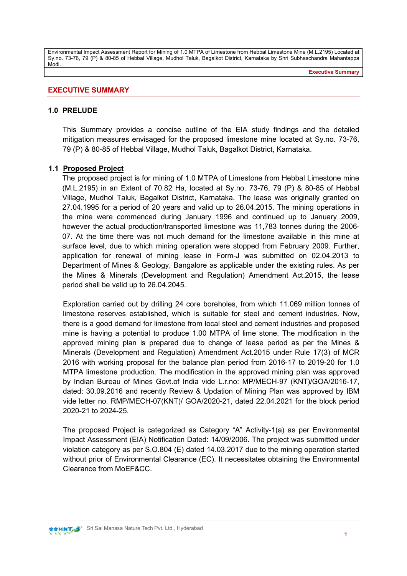#### EXECUTIVE SUMMARY

#### 1.0 PRELUDE

This Summary provides a concise outline of the EIA study findings and the detailed mitigation measures envisaged for the proposed limestone mine located at Sy.no. 73-76, 79 (P) & 80-85 of Hebbal Village, Mudhol Taluk, Bagalkot District, Karnataka.

#### 1.1 Proposed Project

The proposed project is for mining of 1.0 MTPA of Limestone from Hebbal Limestone mine (M.L.2195) in an Extent of 70.82 Ha, located at Sy.no. 73-76, 79 (P) & 80-85 of Hebbal Village, Mudhol Taluk, Bagalkot District, Karnataka. The lease was originally granted on 27.04.1995 for a period of 20 years and valid up to 26.04.2015. The mining operations in the mine were commenced during January 1996 and continued up to January 2009, however the actual production/transported limestone was 11,783 tonnes during the 2006- 07. At the time there was not much demand for the limestone available in this mine at surface level, due to which mining operation were stopped from February 2009. Further, application for renewal of mining lease in Form-J was submitted on 02.04.2013 to Department of Mines & Geology, Bangalore as applicable under the existing rules. As per the Mines & Minerals (Development and Regulation) Amendment Act.2015, the lease period shall be valid up to 26.04.2045.

Exploration carried out by drilling 24 core boreholes, from which 11.069 million tonnes of limestone reserves established, which is suitable for steel and cement industries. Now, there is a good demand for limestone from local steel and cement industries and proposed mine is having a potential to produce 1.00 MTPA of lime stone. The modification in the approved mining plan is prepared due to change of lease period as per the Mines & Minerals (Development and Regulation) Amendment Act.2015 under Rule 17(3) of MCR 2016 with working proposal for the balance plan period from 2016-17 to 2019-20 for 1.0 MTPA limestone production. The modification in the approved mining plan was approved by Indian Bureau of Mines Govt.of India vide L.r.no: MP/MECH-97 (KNT)/GOA/2016-17, dated: 30.09.2016 and recently Review & Updation of Mining Plan was approved by IBM vide letter no. RMP/MECH-07(KNT)/ GOA/2020-21, dated 22.04.2021 for the block period 2020-21 to 2024-25.

The proposed Project is categorized as Category "A" Activity-1(a) as per Environmental Impact Assessment (EIA) Notification Dated: 14/09/2006. The project was submitted under violation category as per S.O.804 (E) dated 14.03.2017 due to the mining operation started without prior of Environmental Clearance (EC). It necessitates obtaining the Environmental Clearance from MoEF&CC.

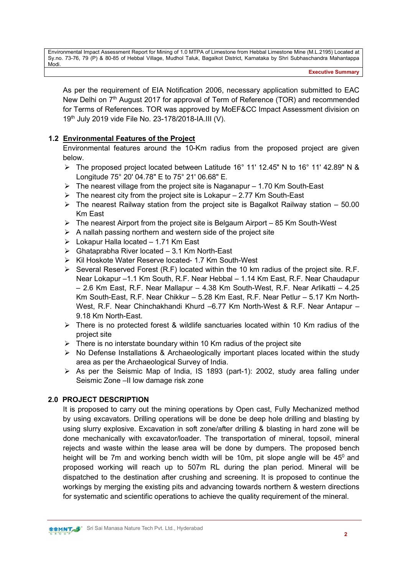Executive Summary

As per the requirement of EIA Notification 2006, necessary application submitted to EAC New Delhi on 7<sup>th</sup> August 2017 for approval of Term of Reference (TOR) and recommended for Terms of References. TOR was approved by MoEF&CC Impact Assessment division on 19th July 2019 vide File No. 23-178/2018-IA.III (V).

# 1.2 Environmental Features of the Project

Environmental features around the 10-Km radius from the proposed project are given below.

- The proposed project located between Latitude 16° 11' 12.45" N to 16° 11' 42.89" N & Longitude 75° 20' 04.78" E to 75° 21' 06.68" E.
- $\triangleright$  The nearest village from the project site is Naganapur 1.70 Km South-East
- $\triangleright$  The nearest city from the project site is Lokapur 2.77 Km South-East
- $\triangleright$  The nearest Railway station from the project site is Bagalkot Railway station 50.00 Km East
- $\triangleright$  The nearest Airport from the project site is Belgaum Airport 85 Km South-West
- $\triangleright$  A nallah passing northern and western side of the project site
- $\triangleright$  Lokapur Halla located 1.71 Km East
- $\triangleright$  Ghataprabha River located 3.1 Km North-East
- $\triangleright$  Kil Hoskote Water Reserve located- 1.7 Km South-West
- $\triangleright$  Several Reserved Forest (R.F) located within the 10 km radius of the project site. R.F. Near Lokapur –1.1 Km South, R.F. Near Hebbal – 1.14 Km East, R.F. Near Chaudapur – 2.6 Km East, R.F. Near Mallapur – 4.38 Km South-West, R.F. Near Arlikatti – 4.25 Km South-East, R.F. Near Chikkur – 5.28 Km East, R.F. Near Petlur – 5.17 Km North-West, R.F. Near Chinchakhandi Khurd –6.77 Km North-West & R.F. Near Antapur – 9.18 Km North-East.
- $\triangleright$  There is no protected forest & wildlife sanctuaries located within 10 Km radius of the project site
- $\triangleright$  There is no interstate boundary within 10 Km radius of the project site
- $\triangleright$  No Defense Installations & Archaeologically important places located within the study area as per the Archaeological Survey of India.
- As per the Seismic Map of India, IS 1893 (part-1): 2002, study area falling under Seismic Zone –II low damage risk zone

#### 2.0 PROJECT DESCRIPTION

It is proposed to carry out the mining operations by Open cast, Fully Mechanized method by using excavators. Drilling operations will be done be deep hole drilling and blasting by using slurry explosive. Excavation in soft zone/after drilling & blasting in hard zone will be done mechanically with excavator/loader. The transportation of mineral, topsoil, mineral rejects and waste within the lease area will be done by dumpers. The proposed bench height will be 7m and working bench width will be 10m, pit slope angle will be  $45^{\circ}$  and proposed working will reach up to 507m RL during the plan period. Mineral will be dispatched to the destination after crushing and screening. It is proposed to continue the workings by merging the existing pits and advancing towards northern & western directions for systematic and scientific operations to achieve the quality requirement of the mineral.

**SSHINT S** Sri Sai Manasa Nature Tech Pvt. Ltd., Hyderabad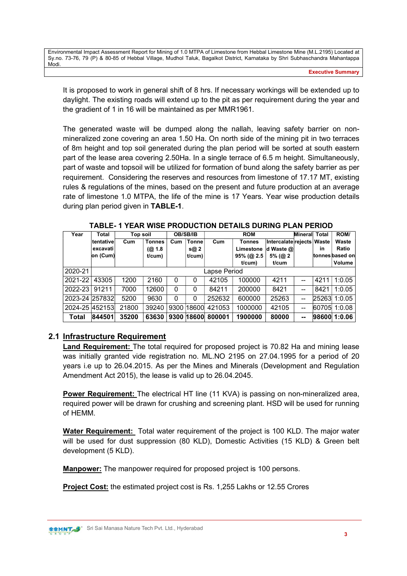It is proposed to work in general shift of 8 hrs. If necessary workings will be extended up to daylight. The existing roads will extend up to the pit as per requirement during the year and the gradient of 1 in 16 will be maintained as per MMR1961.

The generated waste will be dumped along the nallah, leaving safety barrier on nonmineralized zone covering an area 1.50 Ha. On north side of the mining pit in two terraces of 8m height and top soil generated during the plan period will be sorted at south eastern part of the lease area covering 2.50Ha. In a single terrace of 6.5 m height. Simultaneously, part of waste and topsoil will be utilized for formation of bund along the safety barrier as per requirement. Considering the reserves and resources from limestone of 17.17 MT, existing rules & regulations of the mines, based on the present and future production at an average rate of limestone 1.0 MTPA, the life of the mine is 17 Years. Year wise production details during plan period given in TABLE-1.

| Year           | Total<br>Top soil |       |                      | OB/SB/IB |            | <b>ROM</b> |               |                             | <b>Mineral</b> | <b>Total</b> | ROM/            |
|----------------|-------------------|-------|----------------------|----------|------------|------------|---------------|-----------------------------|----------------|--------------|-----------------|
|                | tentative         | Cum   | <b>Tonnes</b>        | Cum      | Tonne      | Cum        | <b>Tonnes</b> | Intercalate rejects   Waste |                |              | Waste           |
|                | ∣excavati         |       | (Q <sub>2</sub> 1.8) |          | s@ 2       |            | Limestone     | d Waste @                   |                | in           | Ratio           |
|                | on (Cum)          |       | $t$ /cum $)$         |          | $t$ /cum)  |            | $95%$ (@ 2.5  | $5\%$ ( $@$ 2               |                |              | tonnes based on |
|                |                   |       |                      |          |            |            | t/cum         | t/cum                       |                |              | Volume          |
| 2020-21        | Lapse Period      |       |                      |          |            |            |               |                             |                |              |                 |
| 2021-22        | 43305             | 1200  | 2160                 | $\Omega$ | 0          | 42105      | 100000        | 4211                        | --             | 4211         | 1:0.05          |
| 2022-23        | 91211             | 7000  | 12600                | $\Omega$ | 0          | 84211      | 200000        | 8421                        | --             | 8421         | 1:0.05          |
| 2023-24 257832 |                   | 5200  | 9630                 | $\Omega$ | 0          | 252632     | 600000        | 25263                       | --             | 25263        | 1:0.05          |
| 2024-25 452153 |                   | 21800 | 39240                | 9300     | 18600      | 421053     | 1000000       | 42105                       | --             | 60705        | 1:0.08          |
| Total          | 844501            | 35200 | 63630                |          | 9300 18600 | 800001     | 1900000       | 80000                       | --             |              | 98600 1:0.06    |

TABLE- 1 YEAR WISE PRODUCTION DETAILS DURING PLAN PERIOD

# 2.1 Infrastructure Requirement

Land Requirement: The total required for proposed project is 70.82 Ha and mining lease was initially granted vide registration no. ML.NO 2195 on 27.04.1995 for a period of 20 years i.e up to 26.04.2015. As per the Mines and Minerals (Development and Regulation Amendment Act 2015), the lease is valid up to 26.04.2045.

Power Requirement: The electrical HT line (11 KVA) is passing on non-mineralized area, required power will be drawn for crushing and screening plant. HSD will be used for running of HEMM.

Water Requirement: Total water requirement of the project is 100 KLD. The major water will be used for dust suppression (80 KLD), Domestic Activities (15 KLD) & Green belt development (5 KLD).

Manpower: The manpower required for proposed project is 100 persons.

Project Cost: the estimated project cost is Rs. 1,255 Lakhs or 12.55 Crores

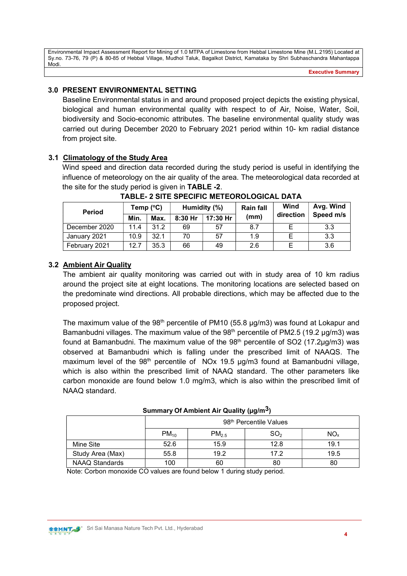Executive Summary

# 3.0 PRESENT ENVIRONMENTAL SETTING

Baseline Environmental status in and around proposed project depicts the existing physical, biological and human environmental quality with respect to of Air, Noise, Water, Soil, biodiversity and Socio-economic attributes. The baseline environmental quality study was carried out during December 2020 to February 2021 period within 10- km radial distance from project site.

# 3.1 Climatology of the Study Area

Wind speed and direction data recorded during the study period is useful in identifying the influence of meteorology on the air quality of the area. The meteorological data recorded at the site for the study period is given in TABLE -2.

| <b>Period</b> | Temp $(^{\circ}C)$ |      |           | Humidity (%) | <b>Rain fall</b> | Wind      | Avg. Wind |  |
|---------------|--------------------|------|-----------|--------------|------------------|-----------|-----------|--|
|               | Min.               | Max. | $8:30$ Hr | 17:30 Hr     | (mm)             | direction | Speed m/s |  |
| December 2020 | 11.4               | 31.2 | 69        | 57           | 8.7              |           | 3.3       |  |
| January 2021  | 10.9               | 32.1 | 70        | 57           | 1.9              |           | 3.3       |  |
| February 2021 | 12.7               | 35.3 | 66        | 49           | 2.6              |           | 3.6       |  |

TABLE- 2 SITE SPECIFIC METEOROLOGICAL DATA

# 3.2 Ambient Air Quality

The ambient air quality monitoring was carried out with in study area of 10 km radius around the project site at eight locations. The monitoring locations are selected based on the predominate wind directions. All probable directions, which may be affected due to the proposed project.

The maximum value of the  $98<sup>th</sup>$  percentile of PM10 (55.8  $\mu$ g/m3) was found at Lokapur and Bamanbudni villages. The maximum value of the  $98<sup>th</sup>$  percentile of PM2.5 (19.2 µg/m3) was found at Bamanbudni. The maximum value of the  $98<sup>th</sup>$  percentile of SO2 (17.2ug/m3) was observed at Bamanbudni which is falling under the prescribed limit of NAAQS. The maximum level of the  $98<sup>th</sup>$  percentile of NOx 19.5  $\mu$ g/m3 found at Bamanbudni village, which is also within the prescribed limit of NAAQ standard. The other parameters like carbon monoxide are found below 1.0 mg/m3, which is also within the prescribed limit of NAAQ standard.

|                       |                                    |                   | .               |                 |  |  |  |
|-----------------------|------------------------------------|-------------------|-----------------|-----------------|--|--|--|
|                       | 98 <sup>th</sup> Percentile Values |                   |                 |                 |  |  |  |
|                       | $PM_{10}$                          | PM <sub>2.5</sub> | SO <sub>2</sub> | NO <sub>x</sub> |  |  |  |
| Mine Site             | 52.6                               | 15.9              | 12.8            | 19.1            |  |  |  |
| Study Area (Max)      | 55.8                               | 19.2              | 17.2            | 19.5            |  |  |  |
| <b>NAAQ Standards</b> | 100                                | 60                | 80              | 80              |  |  |  |

Summary Of Ambient Air Quality (ug/m<sup>3</sup>)

Note: Corbon monoxide CO values are found below 1 during study period.

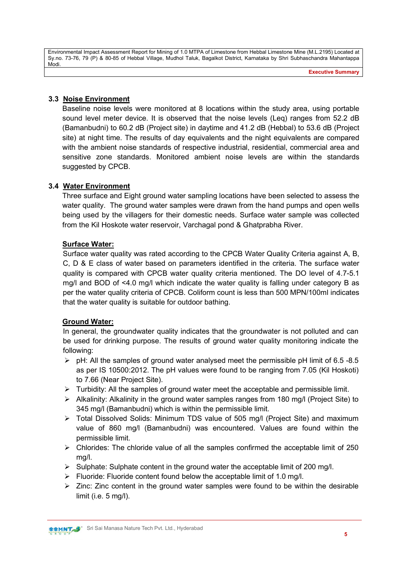#### 3.3 Noise Environment

Baseline noise levels were monitored at 8 locations within the study area, using portable sound level meter device. It is observed that the noise levels (Leq) ranges from 52.2 dB (Bamanbudni) to 60.2 dB (Project site) in daytime and 41.2 dB (Hebbal) to 53.6 dB (Project site) at night time. The results of day equivalents and the night equivalents are compared with the ambient noise standards of respective industrial, residential, commercial area and sensitive zone standards. Monitored ambient noise levels are within the standards suggested by CPCB.

# 3.4 Water Environment

Three surface and Eight ground water sampling locations have been selected to assess the water quality. The ground water samples were drawn from the hand pumps and open wells being used by the villagers for their domestic needs. Surface water sample was collected from the Kil Hoskote water reservoir, Varchagal pond & Ghatprabha River.

# Surface Water:

Surface water quality was rated according to the CPCB Water Quality Criteria against A, B, C, D & E class of water based on parameters identified in the criteria. The surface water quality is compared with CPCB water quality criteria mentioned. The DO level of 4.7-5.1 mg/l and BOD of <4.0 mg/l which indicate the water quality is falling under category B as per the water quality criteria of CPCB. Coliform count is less than 500 MPN/100ml indicates that the water quality is suitable for outdoor bathing.

#### Ground Water:

In general, the groundwater quality indicates that the groundwater is not polluted and can be used for drinking purpose. The results of ground water quality monitoring indicate the following:

- $\triangleright$  pH: All the samples of ground water analysed meet the permissible pH limit of 6.5 -8.5 as per IS 10500:2012. The pH values were found to be ranging from 7.05 (Kil Hoskoti) to 7.66 (Near Project Site).
- $\triangleright$  Turbidity: All the samples of ground water meet the acceptable and permissible limit.
- $\triangleright$  Alkalinity: Alkalinity in the ground water samples ranges from 180 mg/l (Project Site) to 345 mg/l (Bamanbudni) which is within the permissible limit.
- Total Dissolved Solids: Minimum TDS value of 505 mg/l (Project Site) and maximum value of 860 mg/l (Bamanbudni) was encountered. Values are found within the permissible limit.
- $\triangleright$  Chlorides: The chloride value of all the samples confirmed the acceptable limit of 250 mg/l.
- $\triangleright$  Sulphate: Sulphate content in the ground water the acceptable limit of 200 mg/l.
- $\triangleright$  Fluoride: Fluoride content found below the acceptable limit of 1.0 mg/l.
- $\triangleright$  Zinc: Zinc content in the ground water samples were found to be within the desirable limit (i.e. 5 mg/l).

**SSHINT S** Sri Sai Manasa Nature Tech Pvt. Ltd., Hyderabad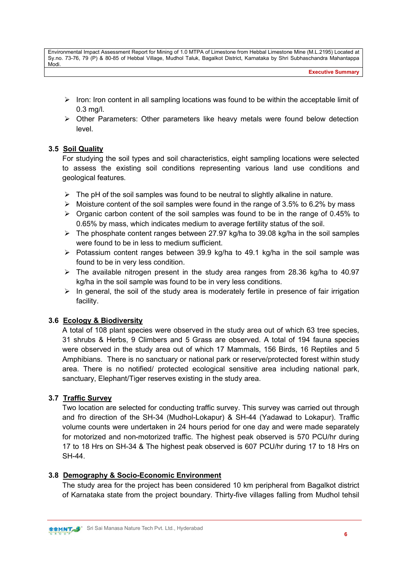Executive Summary

- $\triangleright$  Iron: Iron content in all sampling locations was found to be within the acceptable limit of 0.3 mg/l.
- $\triangleright$  Other Parameters: Other parameters like heavy metals were found below detection level.

# 3.5 Soil Quality

For studying the soil types and soil characteristics, eight sampling locations were selected to assess the existing soil conditions representing various land use conditions and geological features.

- $\triangleright$  The pH of the soil samples was found to be neutral to slightly alkaline in nature.
- $\triangleright$  Moisture content of the soil samples were found in the range of 3.5% to 6.2% by mass
- $\triangleright$  Organic carbon content of the soil samples was found to be in the range of 0.45% to 0.65% by mass, which indicates medium to average fertility status of the soil.
- $\triangleright$  The phosphate content ranges between 27.97 kg/ha to 39.08 kg/ha in the soil samples were found to be in less to medium sufficient.
- $\triangleright$  Potassium content ranges between 39.9 kg/ha to 49.1 kg/ha in the soil sample was found to be in very less condition.
- $\triangleright$  The available nitrogen present in the study area ranges from 28.36 kg/ha to 40.97 kg/ha in the soil sample was found to be in very less conditions.
- $\triangleright$  In general, the soil of the study area is moderately fertile in presence of fair irrigation facility.

# 3.6 Ecology & Biodiversity

A total of 108 plant species were observed in the study area out of which 63 tree species, 31 shrubs & Herbs, 9 Climbers and 5 Grass are observed. A total of 194 fauna species were observed in the study area out of which 17 Mammals, 156 Birds, 16 Reptiles and 5 Amphibians. There is no sanctuary or national park or reserve/protected forest within study area. There is no notified/ protected ecological sensitive area including national park, sanctuary, Elephant/Tiger reserves existing in the study area.

# 3.7 Traffic Survey

Two location are selected for conducting traffic survey. This survey was carried out through and fro direction of the SH-34 (Mudhol-Lokapur) & SH-44 (Yadawad to Lokapur). Traffic volume counts were undertaken in 24 hours period for one day and were made separately for motorized and non-motorized traffic. The highest peak observed is 570 PCU/hr during 17 to 18 Hrs on SH-34 & The highest peak observed is 607 PCU/hr during 17 to 18 Hrs on SH-44.

# 3.8 Demography & Socio-Economic Environment

The study area for the project has been considered 10 km peripheral from Bagalkot district of Karnataka state from the project boundary. Thirty-five villages falling from Mudhol tehsil

**SSHAT S** Sri Sai Manasa Nature Tech Pvt. Ltd., Hyderabad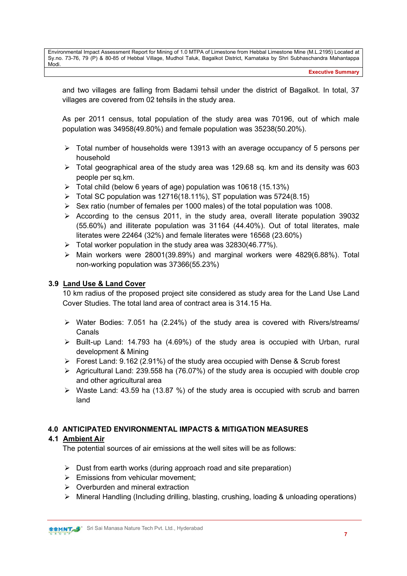Executive Summary

and two villages are falling from Badami tehsil under the district of Bagalkot. In total, 37 villages are covered from 02 tehsils in the study area.

As per 2011 census, total population of the study area was 70196, out of which male population was 34958(49.80%) and female population was 35238(50.20%).

- $\triangleright$  Total number of households were 13913 with an average occupancy of 5 persons per household
- Total geographical area of the study area was 129.68 sq. km and its density was 603 people per sq.km.
- $\triangleright$  Total child (below 6 years of age) population was 10618 (15.13%)
- $\triangleright$  Total SC population was 12716(18.11%), ST population was 5724(8.15)
- $\triangleright$  Sex ratio (number of females per 1000 males) of the total population was 1008.
- $\triangleright$  According to the census 2011, in the study area, overall literate population 39032 (55.60%) and illiterate population was 31164 (44.40%). Out of total literates, male literates were 22464 (32%) and female literates were 16568 (23.60%)
- $\triangleright$  Total worker population in the study area was 32830(46.77%).
- $\triangleright$  Main workers were 28001(39.89%) and marginal workers were 4829(6.88%). Total non-working population was 37366(55.23%)

#### 3.9 Land Use & Land Cover

10 km radius of the proposed project site considered as study area for the Land Use Land Cover Studies. The total land area of contract area is 314.15 Ha.

- $\triangleright$  Water Bodies: 7.051 ha (2.24%) of the study area is covered with Rivers/streams/ Canals
- $\triangleright$  Built-up Land: 14.793 ha (4.69%) of the study area is occupied with Urban, rural development & Mining
- Forest Land:  $9.162$  (2.91%) of the study area occupied with Dense & Scrub forest
- $\triangleright$  Agricultural Land: 239.558 ha (76.07%) of the study area is occupied with double crop and other agricultural area
- $\triangleright$  Waste Land: 43.59 ha (13.87 %) of the study area is occupied with scrub and barren land

# 4.0 ANTICIPATED ENVIRONMENTAL IMPACTS & MITIGATION MEASURES

#### 4.1 Ambient Air

The potential sources of air emissions at the well sites will be as follows:

- $\triangleright$  Dust from earth works (during approach road and site preparation)
- $\triangleright$  Emissions from vehicular movement:
- $\triangleright$  Overburden and mineral extraction
- Mineral Handling (Including drilling, blasting, crushing, loading & unloading operations)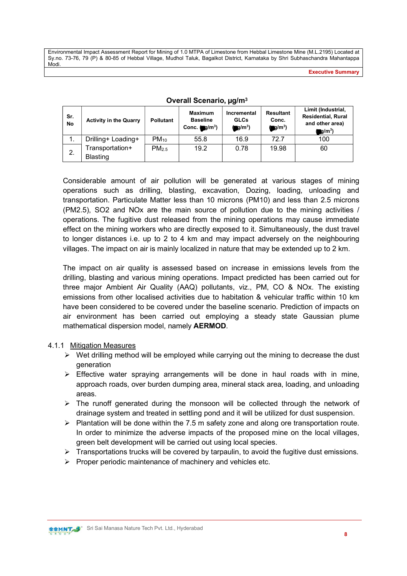Executive Summary

| Sr.<br>No | <b>Activity in the Quarry</b> | <b>Pollutant</b>  | <b>Maximum</b><br><b>Baseline</b><br>Conc. $(g/m^3)$ | Incremental<br><b>GLCs</b><br>$\blacksquare$ g/m <sup>3</sup> ) | <b>Resultant</b><br>Conc.<br>$O(m^3)$ | Limit (Industrial,<br><b>Residential, Rural</b><br>and other area) |
|-----------|-------------------------------|-------------------|------------------------------------------------------|-----------------------------------------------------------------|---------------------------------------|--------------------------------------------------------------------|
|           |                               |                   |                                                      |                                                                 |                                       | $\mathbf{g}/\mathbf{m}^3$ )                                        |
|           | Drilling+ Loading+            | $PM_{10}$         | 55.8                                                 | 16.9                                                            | 72 7                                  | 100                                                                |
| 2.        | Fransportation+               | PM <sub>2.5</sub> | 19.2                                                 | 0.78                                                            | 19.98                                 | 60                                                                 |
|           | <b>Blasting</b>               |                   |                                                      |                                                                 |                                       |                                                                    |

#### Overall Scenario, µg/m<sup>3</sup>

Considerable amount of air pollution will be generated at various stages of mining operations such as drilling, blasting, excavation, Dozing, loading, unloading and transportation. Particulate Matter less than 10 microns (PM10) and less than 2.5 microns (PM2.5), SO2 and NOx are the main source of pollution due to the mining activities / operations. The fugitive dust released from the mining operations may cause immediate effect on the mining workers who are directly exposed to it. Simultaneously, the dust travel to longer distances i.e. up to 2 to 4 km and may impact adversely on the neighbouring villages. The impact on air is mainly localized in nature that may be extended up to 2 km.

The impact on air quality is assessed based on increase in emissions levels from the drilling, blasting and various mining operations. Impact predicted has been carried out for three major Ambient Air Quality (AAQ) pollutants, viz., PM, CO & NOx. The existing emissions from other localised activities due to habitation & vehicular traffic within 10 km have been considered to be covered under the baseline scenario. Prediction of impacts on air environment has been carried out employing a steady state Gaussian plume mathematical dispersion model, namely AERMOD.

#### 4.1.1 Mitigation Measures

- $\triangleright$  Wet drilling method will be employed while carrying out the mining to decrease the dust generation
- $\triangleright$  Effective water spraying arrangements will be done in haul roads with in mine, approach roads, over burden dumping area, mineral stack area, loading, and unloading areas.
- $\triangleright$  The runoff generated during the monsoon will be collected through the network of drainage system and treated in settling pond and it will be utilized for dust suspension.
- $\triangleright$  Plantation will be done within the 7.5 m safety zone and along ore transportation route. In order to minimize the adverse impacts of the proposed mine on the local villages, green belt development will be carried out using local species.
- $\triangleright$  Transportations trucks will be covered by tarpaulin, to avoid the fugitive dust emissions.
- $\triangleright$  Proper periodic maintenance of machinery and vehicles etc.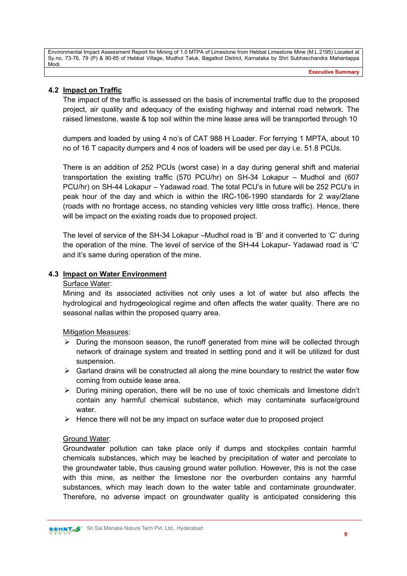Executive Summary

# 4.2 Impact on Traffic

The impact of the traffic is assessed on the basis of incremental traffic due to the proposed project, air quality and adequacy of the existing highway and internal road network. The raised limestone, waste & top soil within the mine lease area will be transported through 10

dumpers and loaded by using 4 no's of CAT 988 H Loader. For ferrying 1 MPTA, about 10 no of 16 T capacity dumpers and 4 nos of loaders will be used per day i.e. 51.8 PCUs.

There is an addition of 252 PCUs (worst case) in a day during general shift and material transportation the existing traffic (570 PCU/hr) on SH-34 Lokapur – Mudhol and (607 PCU/hr) on SH-44 Lokapur – Yadawad road. The total PCU's in future will be 252 PCU's in peak hour of the day and which is within the IRC-106-1990 standards for 2 way/2lane (roads with no frontage access, no standing vehicles very little cross traffic). Hence, there will be impact on the existing roads due to proposed project.

The level of service of the SH-34 Lokapur –Mudhol road is 'B' and it converted to 'C' during the operation of the mine. The level of service of the SH-44 Lokapur- Yadawad road is 'C' and it's same during operation of the mine.

#### 4.3 Impact on Water Environment

#### Surface Water:

Mining and its associated activities not only uses a lot of water but also affects the hydrological and hydrogeological regime and often affects the water quality. There are no seasonal nallas within the proposed quarry area.

#### Mitigation Measures:

- $\triangleright$  During the monsoon season, the runoff generated from mine will be collected through network of drainage system and treated in settling pond and it will be utilized for dust suspension.
- $\triangleright$  Garland drains will be constructed all along the mine boundary to restrict the water flow coming from outside lease area.
- $\triangleright$  During mining operation, there will be no use of toxic chemicals and limestone didn't contain any harmful chemical substance, which may contaminate surface/ground water.
- $\triangleright$  Hence there will not be any impact on surface water due to proposed project

#### Ground Water:

Groundwater pollution can take place only if dumps and stockpiles contain harmful chemicals substances, which may be leached by precipitation of water and percolate to the groundwater table, thus causing ground water pollution. However, this is not the case with this mine, as neither the limestone nor the overburden contains any harmful substances, which may leach down to the water table and contaminate groundwater. Therefore, no adverse impact on groundwater quality is anticipated considering this

**SSMNT S** Sri Sai Manasa Nature Tech Pvt. Ltd., Hyderabad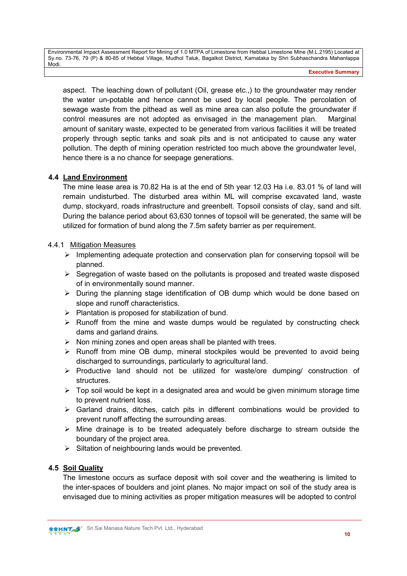aspect. The leaching down of pollutant (Oil, grease etc.,) to the groundwater may render the water un-potable and hence cannot be used by local people. The percolation of sewage waste from the pithead as well as mine area can also pollute the groundwater if control measures are not adopted as envisaged in the management plan. Marginal amount of sanitary waste, expected to be generated from various facilities it will be treated properly through septic tanks and soak pits and is not anticipated to cause any water pollution. The depth of mining operation restricted too much above the groundwater level, hence there is a no chance for seepage generations.

# 4.4 Land Environment

The mine lease area is 70.82 Ha is at the end of 5th year 12.03 Ha i.e. 83.01 % of land will remain undisturbed. The disturbed area within ML will comprise excavated land, waste dump, stockyard, roads infrastructure and greenbelt. Topsoil consists of clay, sand and silt. During the balance period about 63,630 tonnes of topsoil will be generated, the same will be utilized for formation of bund along the 7.5m safety barrier as per requirement.

#### 4.4.1 Mitigation Measures

- $\triangleright$  Implementing adequate protection and conservation plan for conserving topsoil will be planned.
- $\triangleright$  Segregation of waste based on the pollutants is proposed and treated waste disposed of in environmentally sound manner.
- $\triangleright$  During the planning stage identification of OB dump which would be done based on slope and runoff characteristics.
- $\triangleright$  Plantation is proposed for stabilization of bund.
- $\triangleright$  Runoff from the mine and waste dumps would be regulated by constructing check dams and garland drains.
- $\triangleright$  Non mining zones and open areas shall be planted with trees.
- $\triangleright$  Runoff from mine OB dump, mineral stockpiles would be prevented to avoid being discharged to surroundings, particularly to agricultural land.
- $\triangleright$  Productive land should not be utilized for waste/ore dumping/ construction of structures.
- $\triangleright$  Top soil would be kept in a designated area and would be given minimum storage time to prevent nutrient loss.
- $\triangleright$  Garland drains, ditches, catch pits in different combinations would be provided to prevent runoff affecting the surrounding areas.
- $\triangleright$  Mine drainage is to be treated adequately before discharge to stream outside the boundary of the project area.
- $\triangleright$  Siltation of neighbouring lands would be prevented.

# 4.5 Soil Quality

The limestone occurs as surface deposit with soil cover and the weathering is limited to the inter-spaces of boulders and joint planes. No major impact on soil of the study area is envisaged due to mining activities as proper mitigation measures will be adopted to control

**SSMNT S**<sup>\*</sup> Sri Sai Manasa Nature Tech Pvt. Ltd., Hyderabad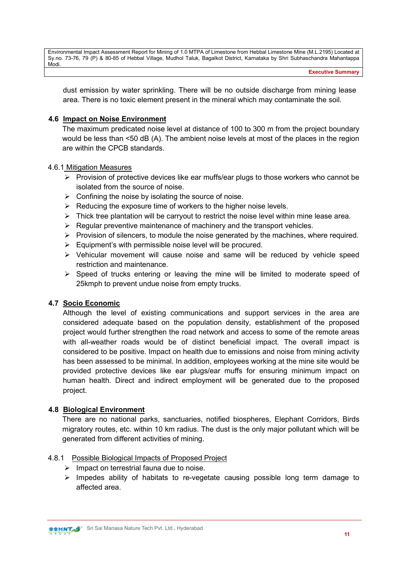Executive Summary

dust emission by water sprinkling. There will be no outside discharge from mining lease area. There is no toxic element present in the mineral which may contaminate the soil.

#### 4.6 Impact on Noise Environment

The maximum predicated noise level at distance of 100 to 300 m from the project boundary would be less than <50 dB (A). The ambient noise levels at most of the places in the region are within the CPCB standards.

#### 4.6.1 Mitigation Measures

- $\triangleright$  Provision of protective devices like ear muffs/ear plugs to those workers who cannot be isolated from the source of noise.
- $\triangleright$  Confining the noise by isolating the source of noise.
- $\triangleright$  Reducing the exposure time of workers to the higher noise levels.
- $\triangleright$  Thick tree plantation will be carryout to restrict the noise level within mine lease area.
- $\triangleright$  Regular preventive maintenance of machinery and the transport vehicles.
- $\triangleright$  Provision of silencers, to module the noise generated by the machines, where required.
- $\triangleright$  Equipment's with permissible noise level will be procured.
- $\triangleright$  Vehicular movement will cause noise and same will be reduced by vehicle speed restriction and maintenance.
- $\triangleright$  Speed of trucks entering or leaving the mine will be limited to moderate speed of 25kmph to prevent undue noise from empty trucks.

#### 4.7 Socio Economic

Although the level of existing communications and support services in the area are considered adequate based on the population density, establishment of the proposed project would further strengthen the road network and access to some of the remote areas with all-weather roads would be of distinct beneficial impact. The overall impact is considered to be positive. Impact on health due to emissions and noise from mining activity has been assessed to be minimal. In addition, employees working at the mine site would be provided protective devices like ear plugs/ear muffs for ensuring minimum impact on human health. Direct and indirect employment will be generated due to the proposed project.

# 4.8 Biological Environment

There are no national parks, sanctuaries, notified biospheres, Elephant Corridors, Birds migratory routes, etc. within 10 km radius. The dust is the only major pollutant which will be generated from different activities of mining.

#### 4.8.1 Possible Biological Impacts of Proposed Project

- $\triangleright$  Impact on terrestrial fauna due to noise.
- $\triangleright$  Impedes ability of habitats to re-vegetate causing possible long term damage to affected area.

**SSHINT S** Sri Sai Manasa Nature Tech Pvt. Ltd., Hyderabad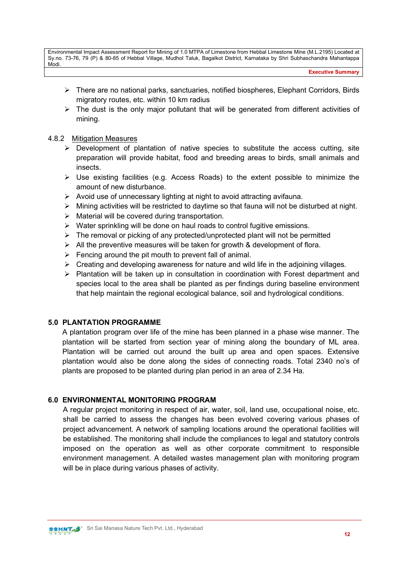Executive Summary

- $\triangleright$  There are no national parks, sanctuaries, notified biospheres, Elephant Corridors, Birds migratory routes, etc. within 10 km radius
- $\triangleright$  The dust is the only major pollutant that will be generated from different activities of mining.

#### 4.8.2 Mitigation Measures

- $\triangleright$  Development of plantation of native species to substitute the access cutting, site preparation will provide habitat, food and breeding areas to birds, small animals and insects.
- $\triangleright$  Use existing facilities (e.g. Access Roads) to the extent possible to minimize the amount of new disturbance.
- $\triangleright$  Avoid use of unnecessary lighting at night to avoid attracting avifauna.
- $\triangleright$  Mining activities will be restricted to daytime so that fauna will not be disturbed at night.
- $\triangleright$  Material will be covered during transportation.
- $\triangleright$  Water sprinkling will be done on haul roads to control fugitive emissions.
- $\triangleright$  The removal or picking of any protected/unprotected plant will not be permitted
- $\triangleright$  All the preventive measures will be taken for growth & development of flora.
- $\triangleright$  Fencing around the pit mouth to prevent fall of animal.
- $\triangleright$  Creating and developing awareness for nature and wild life in the adjoining villages.
- $\triangleright$  Plantation will be taken up in consultation in coordination with Forest department and species local to the area shall be planted as per findings during baseline environment that help maintain the regional ecological balance, soil and hydrological conditions.

#### 5.0 PLANTATION PROGRAMME

A plantation program over life of the mine has been planned in a phase wise manner. The plantation will be started from section year of mining along the boundary of ML area. Plantation will be carried out around the built up area and open spaces. Extensive plantation would also be done along the sides of connecting roads. Total 2340 no's of plants are proposed to be planted during plan period in an area of 2.34 Ha.

#### 6.0 ENVIRONMENTAL MONITORING PROGRAM

A regular project monitoring in respect of air, water, soil, land use, occupational noise, etc. shall be carried to assess the changes has been evolved covering various phases of project advancement. A network of sampling locations around the operational facilities will be established. The monitoring shall include the compliances to legal and statutory controls imposed on the operation as well as other corporate commitment to responsible environment management. A detailed wastes management plan with monitoring program will be in place during various phases of activity.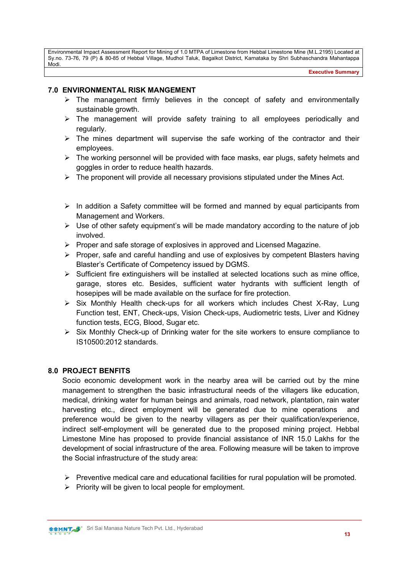#### 7.0 ENVIRONMENTAL RISK MANGEMENT

- $\triangleright$  The management firmly believes in the concept of safety and environmentally sustainable growth.
- $\triangleright$  The management will provide safety training to all employees periodically and regularly.
- $\triangleright$  The mines department will supervise the safe working of the contractor and their employees.
- $\triangleright$  The working personnel will be provided with face masks, ear plugs, safety helmets and goggles in order to reduce health hazards.
- $\triangleright$  The proponent will provide all necessary provisions stipulated under the Mines Act.
- $\triangleright$  In addition a Safety committee will be formed and manned by equal participants from Management and Workers.
- $\triangleright$  Use of other safety equipment's will be made mandatory according to the nature of job involved.
- $\triangleright$  Proper and safe storage of explosives in approved and Licensed Magazine.
- $\triangleright$  Proper, safe and careful handling and use of explosives by competent Blasters having Blaster's Certificate of Competency issued by DGMS.
- $\triangleright$  Sufficient fire extinguishers will be installed at selected locations such as mine office, garage, stores etc. Besides, sufficient water hydrants with sufficient length of hosepipes will be made available on the surface for fire protection.
- $\triangleright$  Six Monthly Health check-ups for all workers which includes Chest X-Ray, Lung Function test, ENT, Check-ups, Vision Check-ups, Audiometric tests, Liver and Kidney function tests, ECG, Blood, Sugar etc.
- $\triangleright$  Six Monthly Check-up of Drinking water for the site workers to ensure compliance to IS10500:2012 standards.

#### 8.0 PROJECT BENFITS

Socio economic development work in the nearby area will be carried out by the mine management to strengthen the basic infrastructural needs of the villagers like education, medical, drinking water for human beings and animals, road network, plantation, rain water harvesting etc., direct employment will be generated due to mine operations and preference would be given to the nearby villagers as per their qualification/experience, indirect self-employment will be generated due to the proposed mining project. Hebbal Limestone Mine has proposed to provide financial assistance of INR 15.0 Lakhs for the development of social infrastructure of the area. Following measure will be taken to improve the Social infrastructure of the study area:

- $\triangleright$  Preventive medical care and educational facilities for rural population will be promoted.
- $\triangleright$  Priority will be given to local people for employment.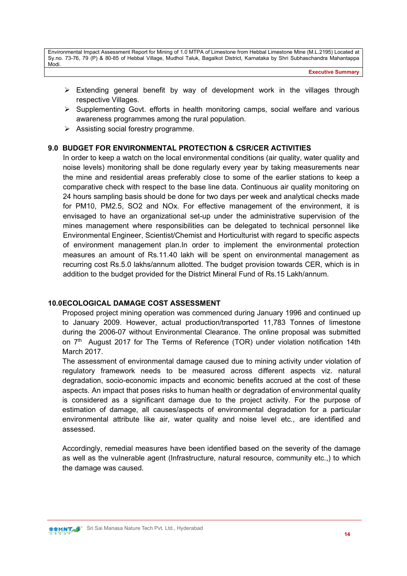Executive Summary

- $\triangleright$  Extending general benefit by way of development work in the villages through respective Villages.
- $\triangleright$  Supplementing Govt. efforts in health monitoring camps, social welfare and various awareness programmes among the rural population.
- $\triangleright$  Assisting social forestry programme.

#### 9.0 BUDGET FOR ENVIRONMENTAL PROTECTION & CSR/CER ACTIVITIES

In order to keep a watch on the local environmental conditions (air quality, water quality and noise levels) monitoring shall be done regularly every year by taking measurements near the mine and residential areas preferably close to some of the earlier stations to keep a comparative check with respect to the base line data. Continuous air quality monitoring on 24 hours sampling basis should be done for two days per week and analytical checks made for PM10, PM2.5, SO2 and NOx. For effective management of the environment, it is envisaged to have an organizational set-up under the administrative supervision of the mines management where responsibilities can be delegated to technical personnel like Environmental Engineer, Scientist/Chemist and Horticulturist with regard to specific aspects of environment management plan.In order to implement the environmental protection measures an amount of Rs.11.40 lakh will be spent on environmental management as recurring cost Rs.5.0 lakhs/annum allotted. The budget provision towards CER, which is in addition to the budget provided for the District Mineral Fund of Rs.15 Lakh/annum.

#### 10.0 ECOLOGICAL DAMAGE COST ASSESSMENT

Proposed project mining operation was commenced during January 1996 and continued up to January 2009. However, actual production/transported 11,783 Tonnes of limestone during the 2006-07 without Environmental Clearance. The online proposal was submitted on  $7<sup>th</sup>$  August 2017 for The Terms of Reference (TOR) under violation notification 14th March 2017.

The assessment of environmental damage caused due to mining activity under violation of regulatory framework needs to be measured across different aspects viz. natural degradation, socio-economic impacts and economic benefits accrued at the cost of these aspects. An impact that poses risks to human health or degradation of environmental quality is considered as a significant damage due to the project activity. For the purpose of estimation of damage, all causes/aspects of environmental degradation for a particular environmental attribute like air, water quality and noise level etc., are identified and assessed.

Accordingly, remedial measures have been identified based on the severity of the damage as well as the vulnerable agent (Infrastructure, natural resource, community etc.,) to which the damage was caused.

**SSHINT S** Sri Sai Manasa Nature Tech Pvt. Ltd., Hyderabad